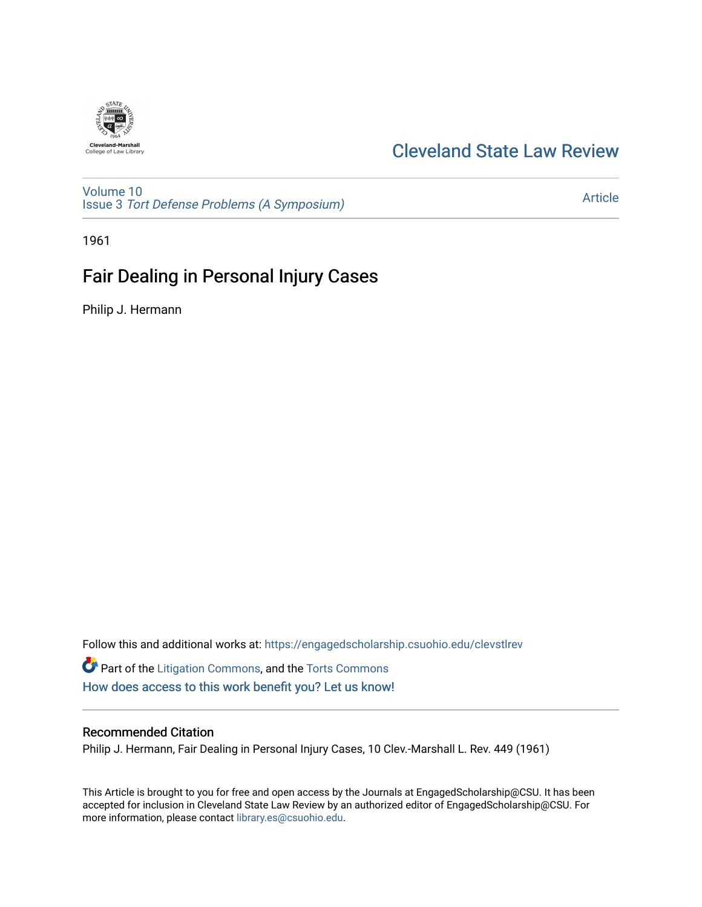

# [Cleveland State Law Review](https://engagedscholarship.csuohio.edu/clevstlrev)

[Volume 10](https://engagedscholarship.csuohio.edu/clevstlrev/vol10) Issue 3 [Tort Defense Problems \(A Symposium\)](https://engagedscholarship.csuohio.edu/clevstlrev/vol10/iss3)

[Article](https://engagedscholarship.csuohio.edu/clevstlrev/vol10/iss3/9) 

1961

# Fair Dealing in Personal Injury Cases

Philip J. Hermann

Follow this and additional works at: [https://engagedscholarship.csuohio.edu/clevstlrev](https://engagedscholarship.csuohio.edu/clevstlrev?utm_source=engagedscholarship.csuohio.edu%2Fclevstlrev%2Fvol10%2Fiss3%2F9&utm_medium=PDF&utm_campaign=PDFCoverPages) Part of the [Litigation Commons](http://network.bepress.com/hgg/discipline/910?utm_source=engagedscholarship.csuohio.edu%2Fclevstlrev%2Fvol10%2Fiss3%2F9&utm_medium=PDF&utm_campaign=PDFCoverPages), and the [Torts Commons](http://network.bepress.com/hgg/discipline/913?utm_source=engagedscholarship.csuohio.edu%2Fclevstlrev%2Fvol10%2Fiss3%2F9&utm_medium=PDF&utm_campaign=PDFCoverPages) [How does access to this work benefit you? Let us know!](http://library.csuohio.edu/engaged/)

# Recommended Citation

Philip J. Hermann, Fair Dealing in Personal Injury Cases, 10 Clev.-Marshall L. Rev. 449 (1961)

This Article is brought to you for free and open access by the Journals at EngagedScholarship@CSU. It has been accepted for inclusion in Cleveland State Law Review by an authorized editor of EngagedScholarship@CSU. For more information, please contact [library.es@csuohio.edu](mailto:library.es@csuohio.edu).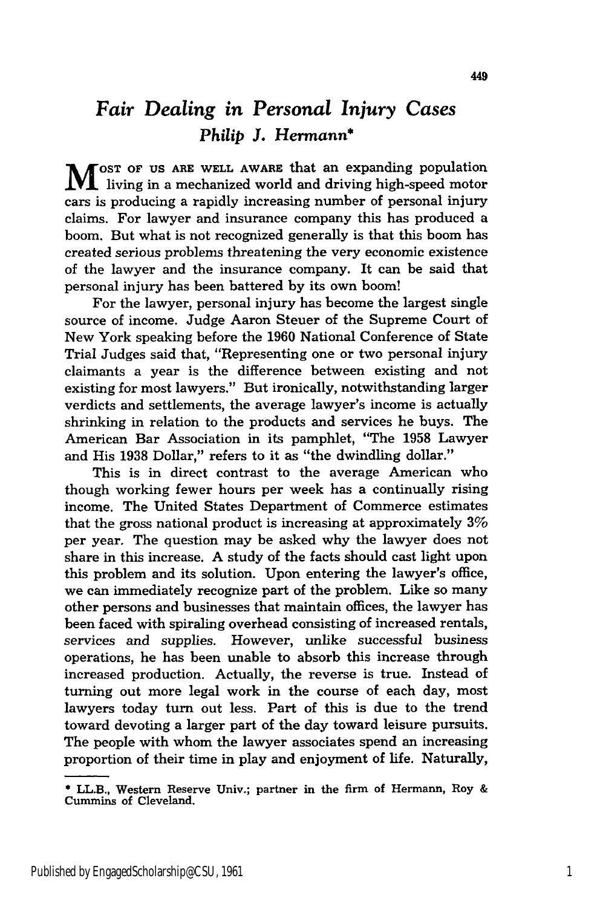# *Fair Dealing in Personal Injury Cases Philip J. Hermann\**

**M OST OF US ARE WELL AWARE** that an expanding population M <sup>OST OF</sup> US ARE WELL ANDER THE CHINA driving high-speed motor cars is producing a rapidly increasing number of personal injury claims. For lawyer and insurance company this has produced a boom. But what is not recognized generally is that this boom has created serious problems threatening the very economic existence of the lawyer and the insurance company. It can be said that personal injury has been battered by its own boom!

For the lawyer, personal injury has become the largest single source of income. Judge Aaron Steuer of the Supreme Court of New York speaking before the **1960** National Conference of State Trial Judges said that, "Representing one or two personal injury claimants a year is the difference between existing and not existing for most lawyers." But ironically, notwithstanding larger verdicts and settlements, the average lawyer's income is actually shrinking in relation to the products and services he buys. The American Bar Association in its pamphlet, "The 1958 Lawyer and His 1938 Dollar," refers to it as "the dwindling dollar."

This is in direct contrast to the average American who though working fewer hours per week has a continually rising income. The United States Department of Commerce estimates that the gross national product is increasing at approximately **3%** per year. The question may be asked why the lawyer does not share in this increase. **A** study of the facts should cast light upon this problem and its solution. Upon entering the lawyer's office, we can immediately recognize part of the problem. Like so many other persons and businesses that maintain offices, the lawyer has been faced with spiraling overhead consisting of increased rentals, services and supplies. However, unlike successful business operations, he has been unable to absorb this increase through increased production. Actually, the reverse is true. Instead of turning out more legal work in the course of each day, most lawyers today turn out less. Part of this is due to the trend toward devoting a larger part of the day toward leisure pursuits. The people with whom the lawyer associates spend an increasing proportion of their time in play and enjoyment of life. Naturally,

**<sup>\*</sup>** LL.B., Western Reserve Univ.; partner in the firm of Hermann, Roy & Cummins of Cleveland.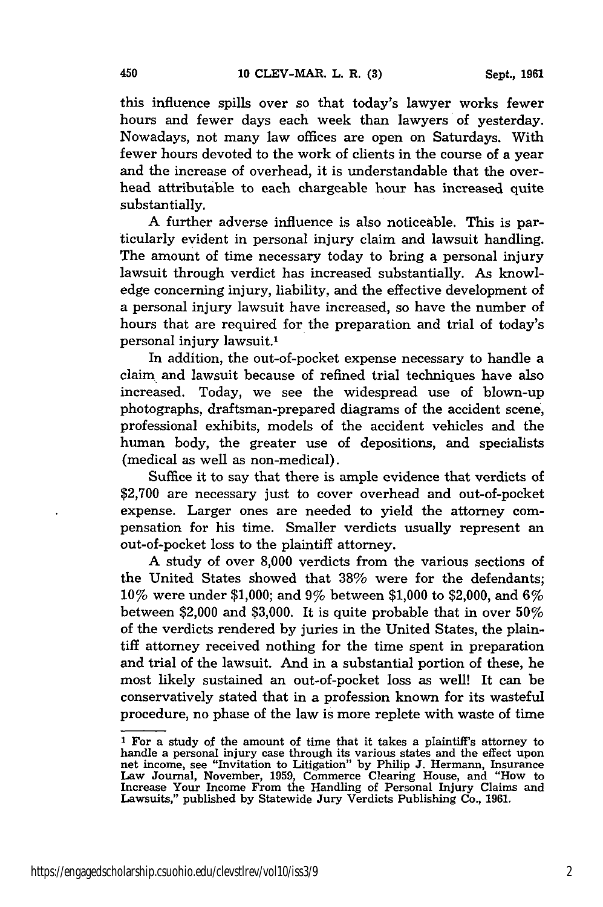this influence spills over so that today's lawyer works fewer hours and fewer days each week than lawyers of yesterday. Nowadays, not many law offices are open on Saturdays. With fewer hours devoted to the work of clients in the course of a year and the increase of overhead, it is understandable that the overhead attributable to each chargeable hour has increased quite substantially.

A further adverse influence is also noticeable. This is particularly evident in personal injury claim and lawsuit handling. The amount of time necessary today to bring a personal injury lawsuit through verdict has increased substantially. As knowledge concerning injury, liability, and the effective development of a personal injury lawsuit have increased, so have the number of hours that are required for the preparation and trial of today's personal injury lawsuit.'

In addition, the out-of-pocket expense necessary to handle a claim and lawsuit because of refined trial techniques have also increased. Today, we see the widespread use of blown-up photographs, draftsman-prepared diagrams of the accident scene, professional exhibits, models of the accident vehicles and the human body, the greater use of depositions, and specialists (medical as well as non-medical).

Suffice it to say that there is ample evidence that verdicts of \$2,700 are necessary just to cover overhead and out-of-pocket expense. Larger ones are needed to yield the attorney compensation for his time. Smaller verdicts usually represent an out-of-pocket loss to the plaintiff attorney.

A study of over 8,000 verdicts from the various sections of the United States showed that 38% were for the defendants; 10% were under \$1,000; and 9% between \$1,000 to \$2,000, and 6% between \$2,000 and \$3,000. It is quite probable that in over  $50\%$ of the verdicts rendered by juries in the United States, the plaintiff attorney received nothing for the time spent in preparation and trial of the lawsuit. And in a substantial portion of these, he most likely sustained an out-of-pocket loss as well! It can be conservatively stated that in a profession known for its wasteful procedure, no phase of the law is more replete with waste of time

<sup>1</sup> For a study of the amount of time that it takes a plaintiff's attorney to handle a personal injury case through its various states and the effect upon net income, see "Invitation to Litigation" by Philip **J.** Hermann, Insurance Law Journal, November, 1959, Commerce Clearing House, and "How to Increase Your Income From the Handling of Personal Injury Claims and Lawsuits," published by Statewide Jury Verdicts Publishing Co., 1961.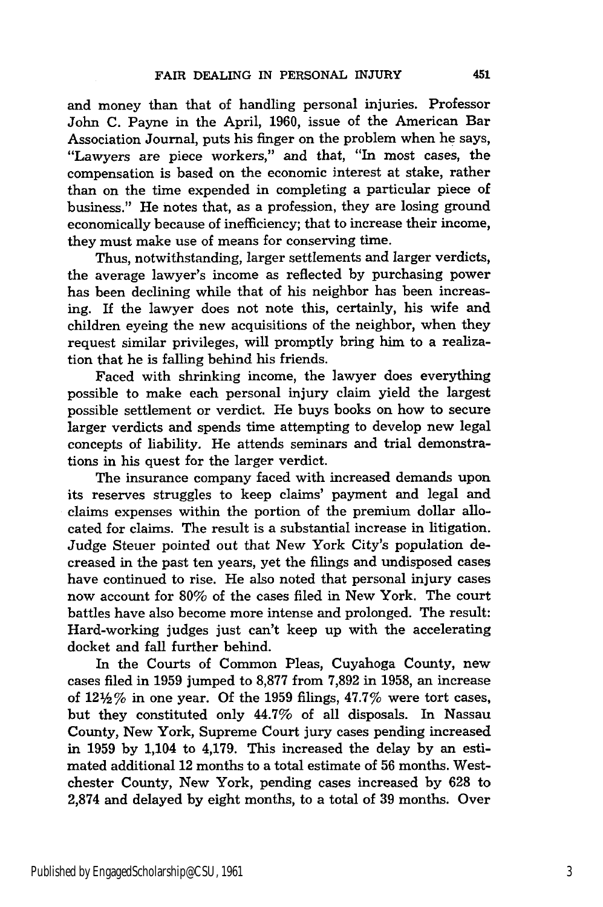and money than that of handling personal injuries. Professor John C. Payne in the April, 1960, issue of the American Bar Association Journal, puts his finger on the problem when he says, "Lawyers are piece workers," and that, "In most cases, the compensation is based on the economic interest at stake, rather than on the time expended in completing a particular piece of business." He notes that, as a profession, they are losing ground economically because of inefficiency; that to increase their income, they must make use of means for conserving time.

Thus, notwithstanding, larger settlements and larger verdicts, the average lawyer's income as reflected by purchasing power has been declining while that of his neighbor has been increasing. If the lawyer does not note this, certainly, his wife and children eyeing the new acquisitions of the neighbor, when they request similar privileges, will promptly bring him to a realization that he is falling behind his friends.

Faced with shrinking income, the lawyer does everything possible to make each personal injury claim yield the largest possible settlement or verdict. He buys books on how to secure larger verdicts and spends time attempting to develop new legal concepts of liability. He attends seminars and trial demonstrations in his quest for the larger verdict.

The insurance company faced with increased demands upon its reserves struggles to keep claims' payment and legal and claims expenses within the portion of the premium dollar allocated for claims. The result is a substantial increase in litigation. Judge Steuer pointed out that New York City's population decreased in the past ten years, yet the filings and undisposed cases have continued to rise. He also noted that personal injury cases now account for 80% of the cases filed in New York. The court battles have also become more intense and prolonged. The result: Hard-working judges just can't keep up with the accelerating docket and fall further behind.

In the Courts of Common Pleas, Cuyahoga County, new cases filed in 1959 jumped to 8,877 from 7,892 in 1958, an increase of  $12\frac{1}{2}\%$  in one year. Of the 1959 filings, 47.7% were tort cases, but they constituted only 44.7% of all disposals. In Nassau County, New York, Supreme Court jury cases pending increased in 1959 by 1,104 to 4,179. This increased the delay by an estimated additional 12 months to a total estimate of 56 months. Westchester County, New York, pending cases increased by 628 to 2,874 and delayed by eight months, to a total of 39 months. Over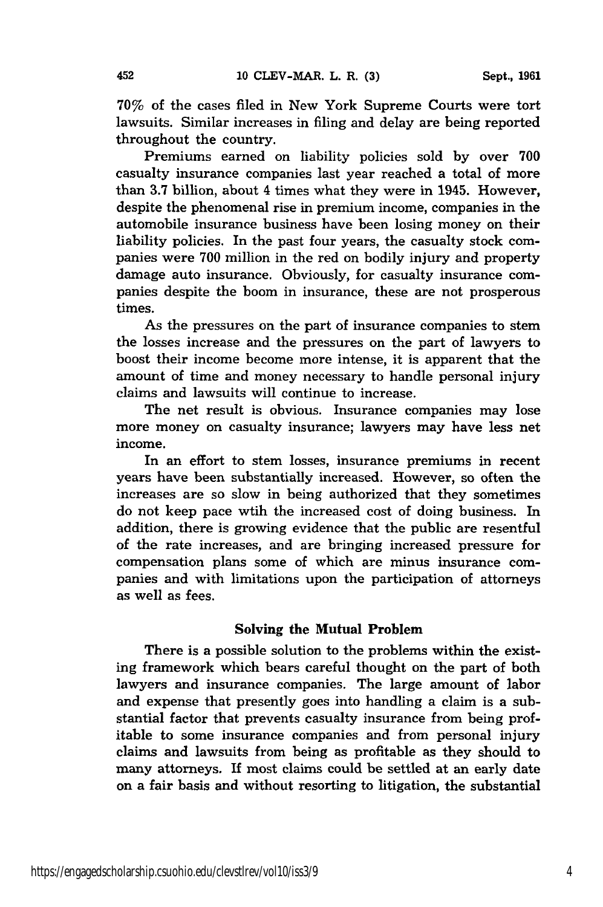**70%** of the cases filed in New York Supreme Courts were tort lawsuits. Similar increases in filing and delay are being reported throughout the country.

Premiums earned on liability policies sold by over 700 casualty insurance companies last year reached a total of more than 3.7 billion, about 4 times what they were in 1945. However, despite the phenomenal rise in premium income, companies in the automobile insurance business have been losing money on their liability policies. In the past four years, the casualty stock companies were 700 million in the red on bodily injury and property damage auto insurance. Obviously, for casualty insurance companies despite the boom in insurance, these are not prosperous times.

As the pressures on the part of insurance companies to stem the losses increase and the pressures on the part of lawyers to boost their income become more intense, it is apparent that the amount of time and money necessary to handle personal injury claims and lawsuits will continue to increase.

The net result is obvious. Insurance companies may lose more money on casualty insurance; lawyers may have less net income.

In an effort to stem losses, insurance premiums in recent years have been substantially increased. However, so often the increases are so slow in being authorized that they sometimes do not keep pace wtih the increased cost of doing business. In addition, there is growing evidence that the public are resentful of the rate increases, and are bringing increased pressure for compensation plans some of which are minus insurance companies and with limitations upon the participation of attorneys as well as fees.

#### Solving **the Mutual Problem**

There is a possible solution to the problems within the existing framework which bears careful thought on the part of both lawyers and insurance companies. The large amount of labor and expense that presently goes into handling a claim is a substantial factor that prevents casualty insurance from being profitable to some insurance companies and from personal injury claims and lawsuits from being as profitable as they should to many attorneys. **If** most claims could be settled at an early date on a fair basis and without resorting to litigation, the substantial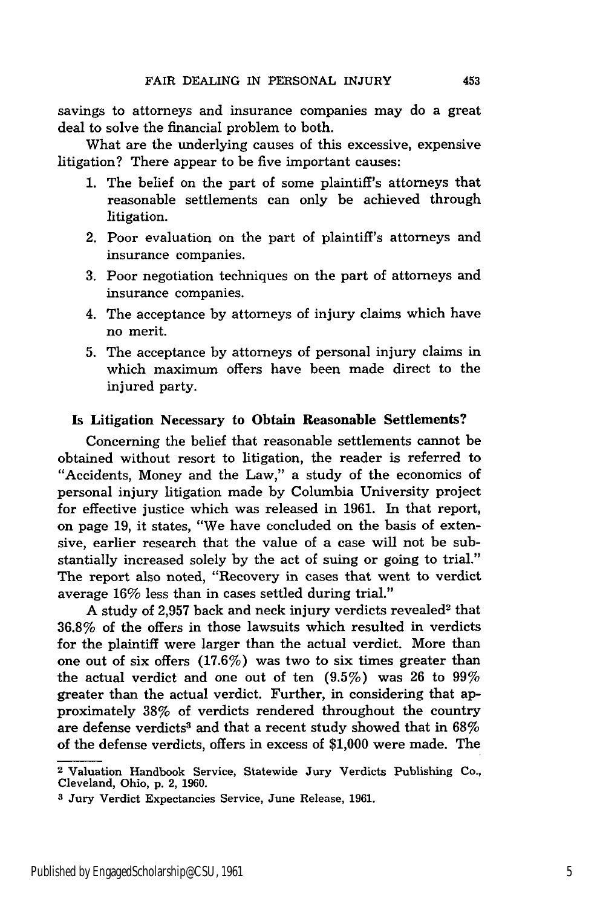savings to attorneys and insurance companies may do a great deal to solve the financial problem to both.

What are the underlying causes of this excessive, expensive litigation? There appear to be five important causes:

- **1.** The belief on the part of some plaintiff's attorneys that reasonable settlements can only be achieved through litigation.
- 2. Poor evaluation on the part of plaintiff's attorneys and insurance companies.
- **3.** Poor negotiation techniques on the part of attorneys and insurance companies.
- 4. The acceptance **by** attorneys of injury claims which have no merit.
- **5.** The acceptance **by** attorneys of personal injury claims in which maximum offers have been made direct to the injured party.

# **Is** Litigation Necessary **to Obtain Reasonable Settlements?**

Concerning the belief that reasonable settlements cannot be obtained without resort to litigation, the reader is referred to "Accidents, Money and the Law," a study of the economics of personal injury litigation made **by** Columbia University project for effective justice which was released in **1961.** In that report, on page **19,** it states, "We have concluded on the basis of extensive, earlier research that the value of a case will not be substantially increased solely **by** the act of suing or going to trial." The report also noted, "Recovery in cases that went to verdict average **16%** less than in cases settled during trial."

A study of 2,957 back and neck injury verdicts revealed<sup>2</sup> that 36.8% of the offers in those lawsuits which resulted in verdicts for the plaintiff were larger than the actual verdict. More than one out of six offers  $(17.6\%)$  was two to six times greater than the actual verdict and one out of ten (9.5%) was **26** to 99% greater than the actual verdict. Further, in considering that approximately **38%** of verdicts rendered throughout the country are defense verdicts<sup>3</sup> and that a recent study showed that in  $68\%$ of the defense verdicts, offers in excess of **\$1,000** were made. The

**<sup>2</sup>**Valuation Handbook Service, Statewide Jury Verdicts Publishing Co., Cleveland, Ohio, **p. 2, 1960.**

**<sup>3</sup>** Jury Verdict Expectancies Service, June Release, **1961.**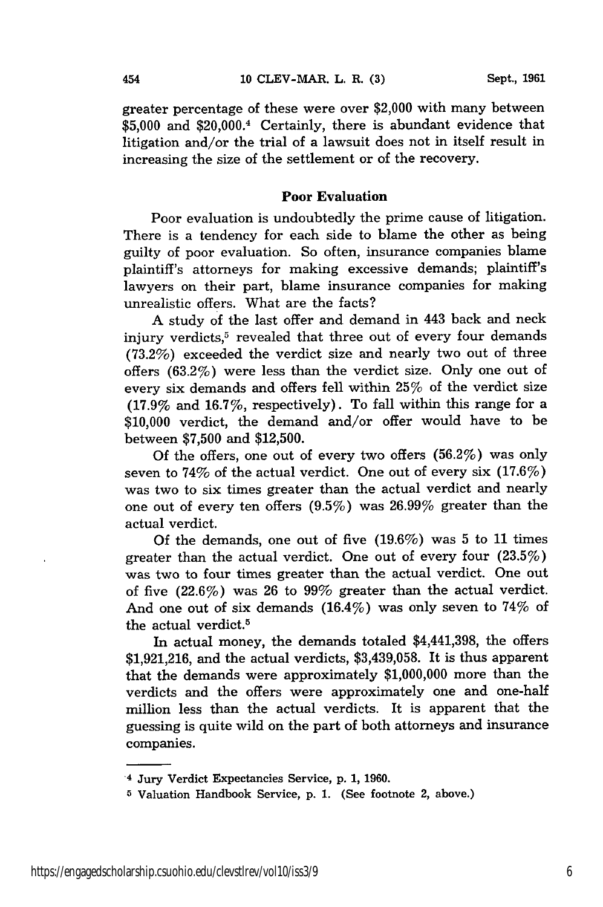greater percentage of these were over \$2,000 with many between \$5,000 and \$20,000.<sup>4</sup> Certainly, there is abundant evidence that litigation and/or the trial of a lawsuit does not in itself result in increasing the size of the settlement or of the recovery.

## Poor Evaluation

Poor evaluation is undoubtedly the prime cause of litigation. There is a tendency for each side to blame the other as being guilty of poor evaluation. So often, insurance companies blame plaintiff's attorneys for making excessive demands; plaintiff's lawyers on their part, blame insurance companies for making unrealistic offers. What are the facts?

A study of the last offer and demand in 443 back and neck injury verdicts,<sup>5</sup> revealed that three out of every four demands (73.2%) exceeded the verdict size and nearly two out of three offers (63.2%) were less than the verdict size. Only one out of every six demands and offers fell within 25% of the verdict size (17.9% and 16.7%, respectively). To fall within this range for a \$10,000 verdict, the demand and/or offer would have to be between \$7,500 and \$12,500.

Of the offers, one out of every two offers (56.2%) was only seven to 74% of the actual verdict. One out of every six  $(17.6\%)$ was two to six times greater than the actual verdict and nearly one out of every ten offers  $(9.5\%)$  was  $26.99\%$  greater than the actual verdict.

Of the demands, one out of five (19.6%) was 5 to 11 times greater than the actual verdict. One out of every four  $(23.5\%)$ was two to four times greater than the actual verdict. One out of five (22.6%) was 26 to 99% greater than the actual verdict. And one out of six demands  $(16.4\%)$  was only seven to 74% of the actual verdict.<sup>5</sup>

In actual money, the demands totaled \$4,441,398, the offers \$1,921,216, and the actual verdicts, \$3,439,058. It is thus apparent that the demands were approximately \$1,000,000 more than the verdicts and the offers were approximately one and one-half million less than the actual verdicts. It is apparent that the guessing is quite wild on the part of both attorneys and insurance companies.

**<sup>4</sup>** Jury Verdict Expectancies Service, p. 1, 1960.

**<sup>5</sup>** Valuation Handbook Service, p. 1. (See footnote 2, above.)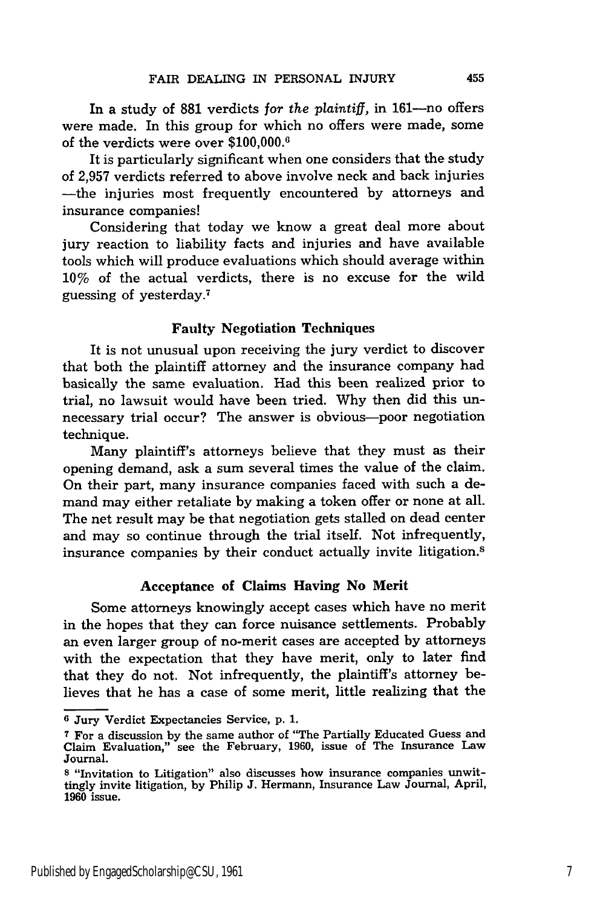In a study of **881** verdicts *for the plaintiff,* in 161-no offers were made. In this group for which no offers were made, some of the verdicts were over \$100,000.<sup>6</sup>

It is particularly significant when one considers that the study of 2,957 verdicts referred to above involve neck and back injuries -the injuries most frequently encountered by attorneys and insurance companies!

Considering that today we know a great deal more about jury reaction to liability facts and injuries and have available tools which will produce evaluations which should average within 10% of the actual verdicts, there is no excuse for the wild guessing of yesterday.<sup>7</sup>

#### **Faulty Negotiation Techniques**

It is not unusual upon receiving the jury verdict to discover that both the plaintiff attorney and the insurance company had basically the same evaluation. Had this been realized prior to trial, no lawsuit would have been tried. Why then did this unnecessary trial occur? The answer is obvious-poor negotiation technique.

Many plaintiff's attorneys believe that they must as their opening demand, ask a sum several times the value of the claim. On their part, many insurance companies faced with such a demand may either retaliate by making a token offer or none at all. The net result may be that negotiation gets stalled on dead center and may so continue through the trial itself. Not infrequently, insurance companies by their conduct actually invite litigation.8

#### **Acceptance of Claims Having No Merit**

Some attorneys knowingly accept cases which have no merit in the hopes that they can force nuisance settlements. Probably an even larger group of no-merit cases are accepted by attorneys with the expectation that they have merit, only to later find that they do not. Not infrequently, the plaintiff's attorney believes that he has a case of some merit, little realizing that the

**<sup>6</sup>**Jury Verdict Expectancies Service, **p. 1.**

**<sup>7</sup>**For a discussion by the same author of "The Partially Educated Guess and Claim Evaluation," see the February, 1960, issue of The Insurance Law Journal.

**<sup>8</sup>** "Invitation to Litigation" also discusses how insurance companies unwittingly invite litigation, by Philip J. Hermann, Insurance Law Journal, April, 1960 issue.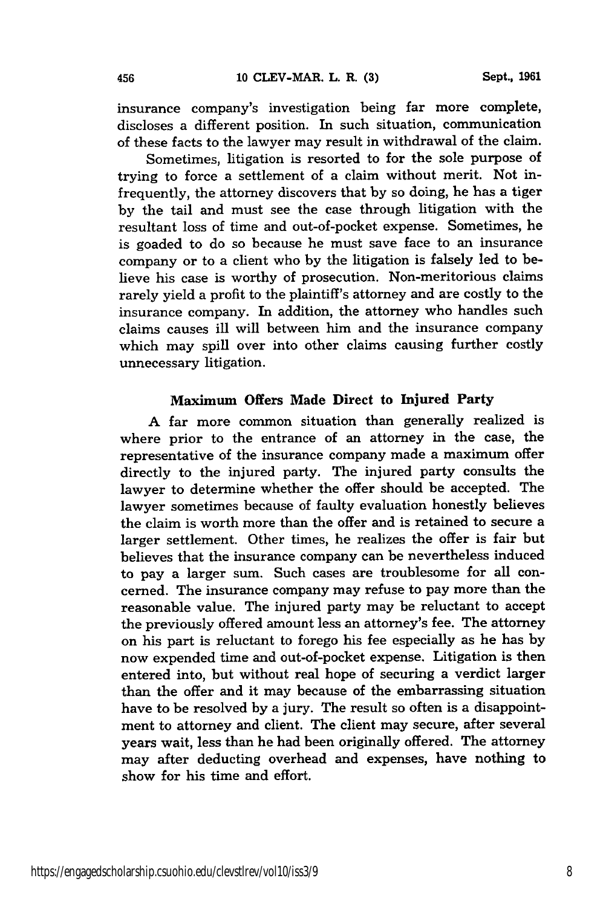insurance company's investigation being far more complete, discloses a different position. In such situation, communication of these facts to the lawyer may result in withdrawal of the claim.

Sometimes, litigation is resorted to for the sole purpose of trying to force a settlement of a claim without merit. Not infrequently, the attorney discovers that by so doing, he has a tiger by the tail and must see the case through litigation with the resultant loss of time and out-of-pocket expense. Sometimes, he is goaded to do so because he must save face to an insurance company or to a client who by the litigation is falsely led to believe his case is worthy of prosecution. Non-meritorious claims rarely yield a profit to the plaintiff's attorney and are costly to the insurance company. In addition, the attorney who handles such claims causes ill will between him and the insurance company which may spill over into other claims causing further costly unnecessary litigation.

### **Maximum** Offers Made **Direct to Injured Party**

A far more common situation than generally realized is where prior to the entrance of an attorney in the case, the representative of the insurance company made a maximum offer directly to the injured party. The injured party consults the lawyer to determine whether the offer should be accepted. The lawyer sometimes because of faulty evaluation honestly believes the claim is worth more than the offer and is retained to secure a larger settlement. Other times, he realizes the offer is fair but believes that the insurance company can be nevertheless induced to pay a larger sum. Such cases are troublesome for all concerned. The insurance company may refuse to pay more than the reasonable value. The injured party may be reluctant to accept the previously offered amount less an attorney's fee. The attorney on his part is reluctant to forego his fee especially as he has by now expended time and out-of-pocket expense. Litigation is then entered into, but without real hope of securing a verdict larger than the offer and it may because of the embarrassing situation have to be resolved by a jury. The result so often is a disappointment to attorney and client. The client may secure, after several years wait, less than he had been originally offered. The attorney may after deducting overhead and expenses, have nothing to show for his time and effort.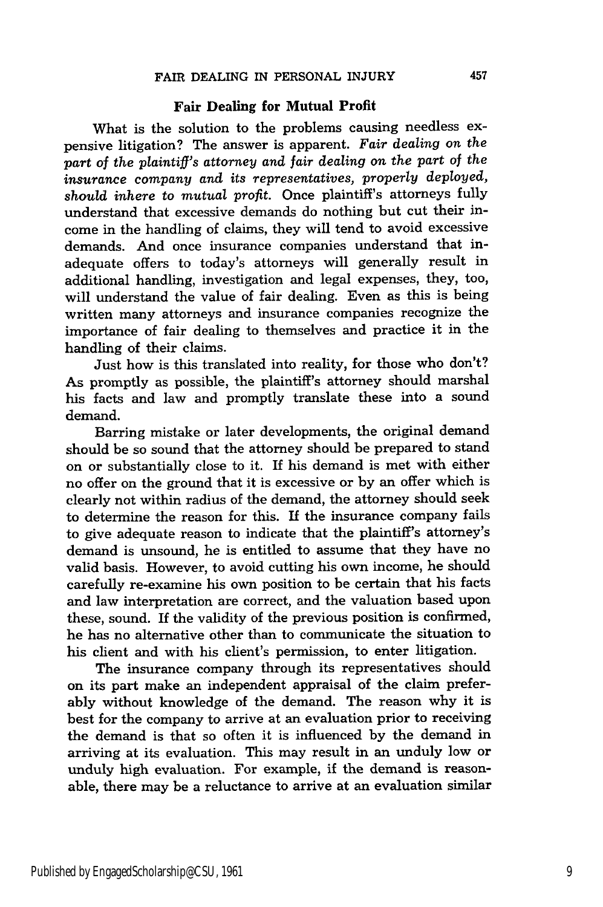### Fair Dealing for Mutual Profit

What is the solution to the problems causing needless expensive litigation? The answer is apparent. *Fair dealing on the part of the plaintiff's attorney and fair dealing on the part of the insurance company and its representatives, properly deployed, should inhere to mutual profit.* Once plaintiff's attorneys fully understand that excessive demands do nothing but cut their income in the handling of claims, they will tend to avoid excessive demands. And once insurance companies understand that inadequate offers to today's attorneys will generally result in additional handling, investigation and legal expenses, they, too, will understand the value of fair dealing. Even as this is being written many attorneys and insurance companies recognize the importance of fair dealing to themselves and practice it in the handling of their claims.

Just how is this translated into reality, for those who don't? As promptly as possible, the plaintiff's attorney should marshal his facts and law and promptly translate these into a sound demand.

Barring mistake or later developments, the original demand should be so sound that the attorney should be prepared to stand on or substantially close to it. If his demand is met with either no offer on the ground that it is excessive or by an offer which is clearly not within radius of the demand, the attorney should seek to determine the reason for this. If the insurance company fails to give adequate reason to indicate that the plaintiff's attorney's demand is unsound, he is entitled to assume that they have no valid basis. However, to avoid cutting his own income, he should carefully re-examine his own position to be certain that his facts and law interpretation are correct, and the valuation based upon these, sound. If the validity of the previous position is confirmed, he has no alternative other than to communicate the situation to his client and with his client's permission, to enter litigation.

The insurance company through its representatives should on its part make an independent appraisal of the claim preferably without knowledge of the demand. The reason why it is best for the company to arrive at an evaluation prior to receiving the demand is that so often it is influenced by the demand in arriving at its evaluation. This may result in an unduly low or unduly high evaluation. For example, if the demand is reasonable, there may be a reluctance to arrive at an evaluation similar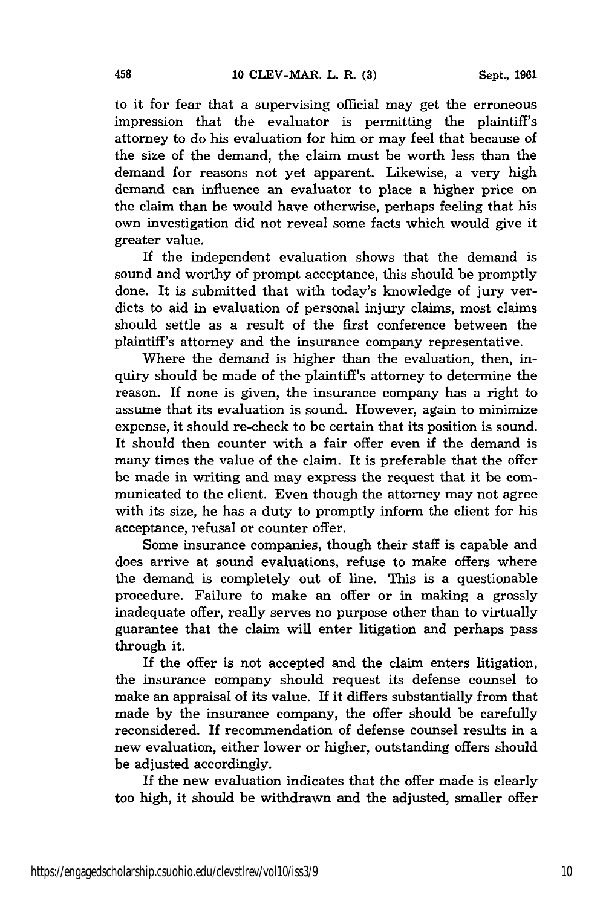to it for fear that a supervising official may get the erroneous impression that the evaluator is permitting the plaintiff's attorney to do his evaluation for him or may feel that because of the size of the demand, the claim must be worth less than the demand for reasons not yet apparent. Likewise, a very high demand can influence an evaluator to place a higher price on the claim than he would have otherwise, perhaps feeling that his own investigation did not reveal some facts which would give it greater value.

If the independent evaluation shows that the demand is sound and worthy of prompt acceptance, this should be promptly done. It is submitted that with today's knowledge of jury verdicts to aid in evaluation of personal injury claims, most claims should settle as a result of the first conference between the plaintiff's attorney and the insurance company representative.

Where the demand is higher than the evaluation, then, inquiry should be made of the plaintiff's attorney to determine the reason. If none is given, the insurance company has a right to assume that its evaluation is sound. However, again to minimize expense, it should re-check to be certain that its position is sound. It should then counter with a fair offer even if the demand is many times the value of the claim. It is preferable that the offer be made in writing and may express the request that it be communicated to the client. Even though the attorney may not agree with its size, he has a duty to promptly inform the client for his acceptance, refusal or counter offer.

Some insurance companies, though their staff is capable and does arrive at sound evaluations, refuse to make offers where the demand is completely out of line. This is a questionable procedure. Failure to make an offer or in making a grossly inadequate offer, really serves no purpose other than to virtually guarantee that the claim will enter litigation and perhaps pass through it.

If the offer is not accepted and the claim enters litigation, the insurance company should request its defense counsel to make an appraisal of its value. If it differs substantially from that made by the insurance company, the offer should be carefully reconsidered. If recommendation of defense counsel results in a new evaluation, either lower or higher, outstanding offers should be adjusted accordingly.

If the new evaluation indicates that the offer made is clearly too high, it should be withdrawn and the adjusted, smaller offer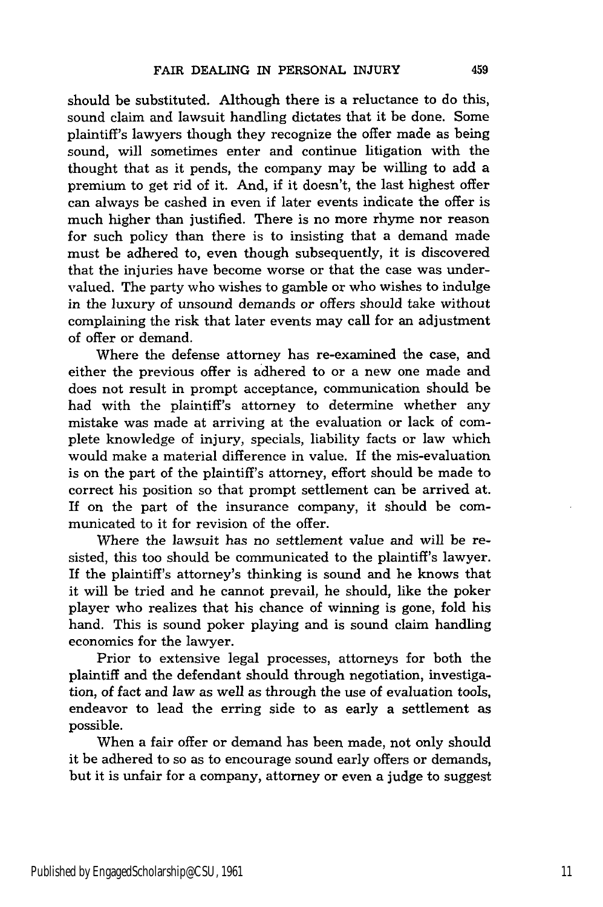should be substituted. Although there is a reluctance to do this, sound claim and lawsuit handling dictates that it be done. Some plaintiff's lawyers though they recognize the offer made as being sound, will sometimes enter and continue litigation with the thought that as it pends, the company may be willing to add a premium to get rid of it. And, if it doesn't, the last highest offer can always be cashed in even if later events indicate the offer is much higher than justified. There is no more rhyme nor reason for such policy than there is to insisting that a demand made must be adhered to, even though subsequently, it is discovered that the injuries have become worse or that the case was undervalued. The party who wishes to gamble or who wishes to indulge in the luxury of unsound demands or offers should take without complaining the risk that later events may call for an adjustment

Where the defense attorney has re-examined the case, and either the previous offer is adhered to or a new one made and does not result in prompt acceptance, communication should be had with the plaintiff's attorney to determine whether any mistake was made at arriving at the evaluation or lack of complete knowledge of injury, specials, liability facts or law which would make a material difference in value. If the mis-evaluation is on the part of the plaintiff's attorney, effort should be made to correct his position so that prompt settlement can be arrived at. If on the part of the insurance company, it should be communicated to it for revision of the offer.

Where the lawsuit has no settlement value and will be resisted, this too should be communicated to the plaintiff's lawyer. If the plaintiff's attorney's thinking is sound and he knows that it will be tried and he cannot prevail, he should, like the poker player who realizes that his chance of winning is gone, fold his hand. This is sound poker playing and is sound claim handling economics for the lawyer.

Prior to extensive legal processes, attorneys for both the plaintiff and the defendant should through negotiation, investigation, of fact and law as well as through the use of evaluation tools, endeavor to lead the erring side to as early a settlement as possible.

When a fair offer or demand has been made, not only should it be adhered to so as to encourage sound early offers or demands, but it is unfair for a company, attorney or even a judge to suggest

of offer or demand.